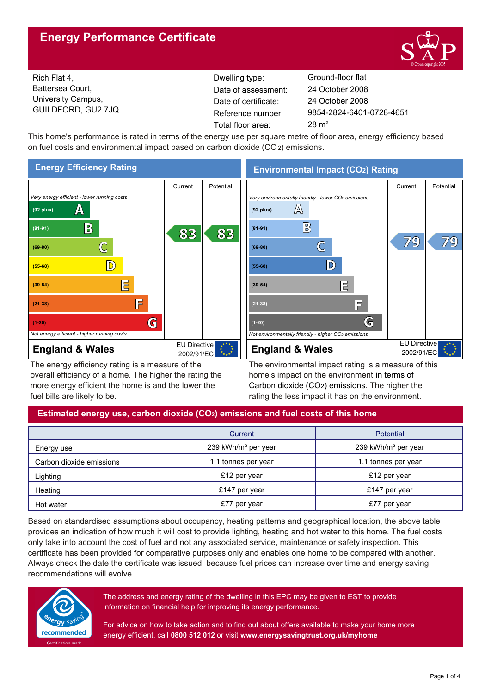# **Energy Performance Certificate**



EU Directive 2002/91/EC

79

79

Rich Flat 4, Battersea Court, University Campus, GUILDFORD, GU2 7JQ

Dwelling type: Ground-floor flat Date of certificate: Total floor area: 28 m² Date of assessment:

9854-2824-6401-0728-4651 24 October 2008 24 October 2008

This home's performance is rated in terms of the energy use per square metre of floor area, energy efficiency based on fuel costs and environmental impact based on carbon dioxide (CO2) emissions.



The energy efficiency rating is a measure of the overall efficiency of a home. The higher the rating the more energy efficient the home is and the lower the fuel bills are likely to be.

The environmental impact rating is a measure of this home's impact on the environment in terms of Carbon dioxide (CO2) emissions. The higher the rating the less impact it has on the environment.

# **Estimated energy use, carbon dioxide (CO2) emissions and fuel costs of this home**

|                          | Current                         | <b>Potential</b>                |  |
|--------------------------|---------------------------------|---------------------------------|--|
| Energy use               | 239 kWh/m <sup>2</sup> per year | 239 kWh/m <sup>2</sup> per year |  |
| Carbon dioxide emissions | 1.1 tonnes per year             | 1.1 tonnes per year             |  |
| Lighting                 | £12 per year                    | £12 per year                    |  |
| Heating                  | £147 per year                   | £147 per year                   |  |
| Hot water                | £77 per year                    | £77 per year                    |  |

Based on standardised assumptions about occupancy, heating patterns and geographical location, the above table provides an indication of how much it will cost to provide lighting, heating and hot water to this home. The fuel costs only take into account the cost of fuel and not any associated service, maintenance or safety inspection. This certificate has been provided for comparative purposes only and enables one home to be compared with another. Always check the date the certificate was issued, because fuel prices can increase over time and energy saving recommendations will evolve.



The address and energy rating of the dwelling in this EPC may be given to EST to provide information on financial help for improving its energy performance.

For advice on how to take action and to find out about offers available to make your home more energy efficient, call **0800 512 012** or visit **www.energysavingtrust.org.uk/myhome**

# **Environmental Impact (CO2) Rating**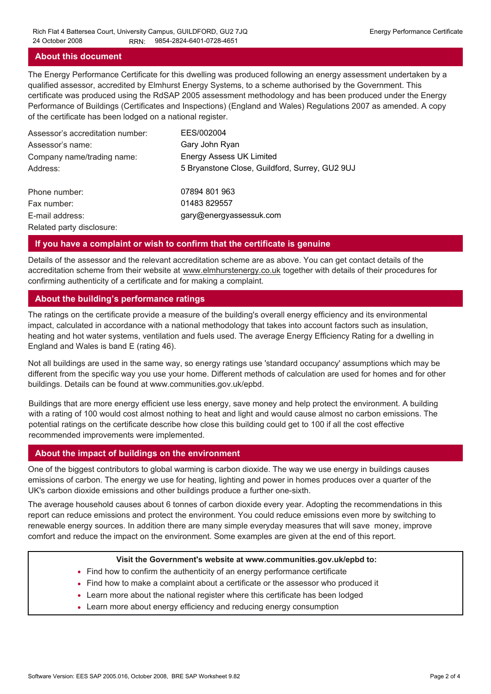### **About this document**

The Energy Performance Certificate for this dwelling was produced following an energy assessment undertaken by a qualified assessor, accredited by Elmhurst Energy Systems, to a scheme authorised by the Government. This certificate was produced using the RdSAP 2005 assessment methodology and has been produced under the Energy Performance of Buildings (Certificates and Inspections) (England and Wales) Regulations 2007 as amended. A copy of the certificate has been lodged on a national register.

| Assessor's accreditation number: | EES/002004                                     |
|----------------------------------|------------------------------------------------|
| Assessor's name:                 | Gary John Ryan                                 |
| Company name/trading name:       | <b>Energy Assess UK Limited</b>                |
| Address:                         | 5 Bryanstone Close, Guildford, Surrey, GU2 9UJ |
| Phone number:                    | 07894 801 963                                  |
| Fax number:                      | 01483 829557                                   |
| E-mail address:                  | gary@energyassessuk.com                        |
| Related party disclosure:        |                                                |

### **If you have a complaint or wish to confirm that the certificate is genuine**

Details of the assessor and the relevant accreditation scheme are as above. You can get contact details of the accreditation scheme from their website at www.elmhurstenergy.co.uk together with details of their procedures for confirming authenticity of a certificate and for making a complaint.

### **About the building's performance ratings**

The ratings on the certificate provide a measure of the building's overall energy efficiency and its environmental impact, calculated in accordance with a national methodology that takes into account factors such as insulation, heating and hot water systems, ventilation and fuels used. The average Energy Efficiency Rating for a dwelling in England and Wales is band E (rating 46).

Not all buildings are used in the same way, so energy ratings use 'standard occupancy' assumptions which may be different from the specific way you use your home. Different methods of calculation are used for homes and for other buildings. Details can be found at www.communities.gov.uk/epbd.

Buildings that are more energy efficient use less energy, save money and help protect the environment. A building with a rating of 100 would cost almost nothing to heat and light and would cause almost no carbon emissions. The potential ratings on the certificate describe how close this building could get to 100 if all the cost effective recommended improvements were implemented.

### **About the impact of buildings on the environment**

One of the biggest contributors to global warming is carbon dioxide. The way we use energy in buildings causes emissions of carbon. The energy we use for heating, lighting and power in homes produces over a quarter of the UK's carbon dioxide emissions and other buildings produce a further one-sixth.

The average household causes about 6 tonnes of carbon dioxide every year. Adopting the recommendations in this report can reduce emissions and protect the environment. You could reduce emissions even more by switching to renewable energy sources. In addition there are many simple everyday measures that will save money, improve comfort and reduce the impact on the environment. Some examples are given at the end of this report.

#### **Visit the Government's website at www.communities.gov.uk/epbd to:**

- Find how to confirm the authenticity of an energy performance certificate
- Find how to make a complaint about a certificate or the assessor who produced it •
- Learn more about the national register where this certificate has been lodged •
- Learn more about energy efficiency and reducing energy consumption •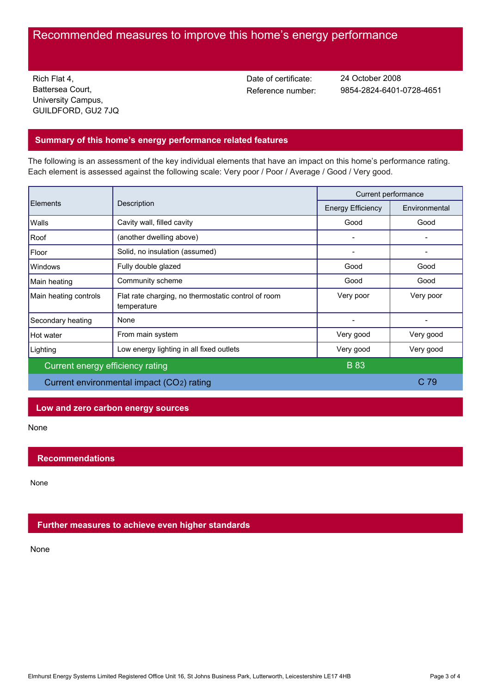# Recommended measures to improve this home's energy performance

Rich Flat 4, Battersea Court, University Campus, GUILDFORD, GU2 7JQ Date of certificate:

Reference number: 9854-2824-6401-0728-4651 24 October 2008

# **Summary of this home's energy performance related features**

The following is an assessment of the key individual elements that have an impact on this home's performance rating. Each element is assessed against the following scale: Very poor / Poor / Average / Good / Very good.

| <b>Elements</b>                           | Description                                                        | Current performance      |               |
|-------------------------------------------|--------------------------------------------------------------------|--------------------------|---------------|
|                                           |                                                                    | <b>Energy Efficiency</b> | Environmental |
| Walls                                     | Cavity wall, filled cavity                                         | Good                     | Good          |
| Roof                                      | (another dwelling above)                                           |                          |               |
| Floor                                     | Solid, no insulation (assumed)                                     |                          |               |
| <b>Windows</b>                            | Fully double glazed                                                | Good                     | Good          |
| Main heating                              | Community scheme                                                   | Good                     | Good          |
| Main heating controls                     | Flat rate charging, no thermostatic control of room<br>temperature | Very poor                | Very poor     |
| Secondary heating                         | None                                                               |                          |               |
| Hot water                                 | From main system                                                   | Very good                | Very good     |
| Lighting                                  | Low energy lighting in all fixed outlets                           | Very good                | Very good     |
| Current energy efficiency rating          |                                                                    | <b>B</b> 83              |               |
| Current environmental impact (CO2) rating |                                                                    |                          | C 79          |

## **Low and zero carbon energy sources**

None

## **Recommendations**

None

## **Further measures to achieve even higher standards**

None